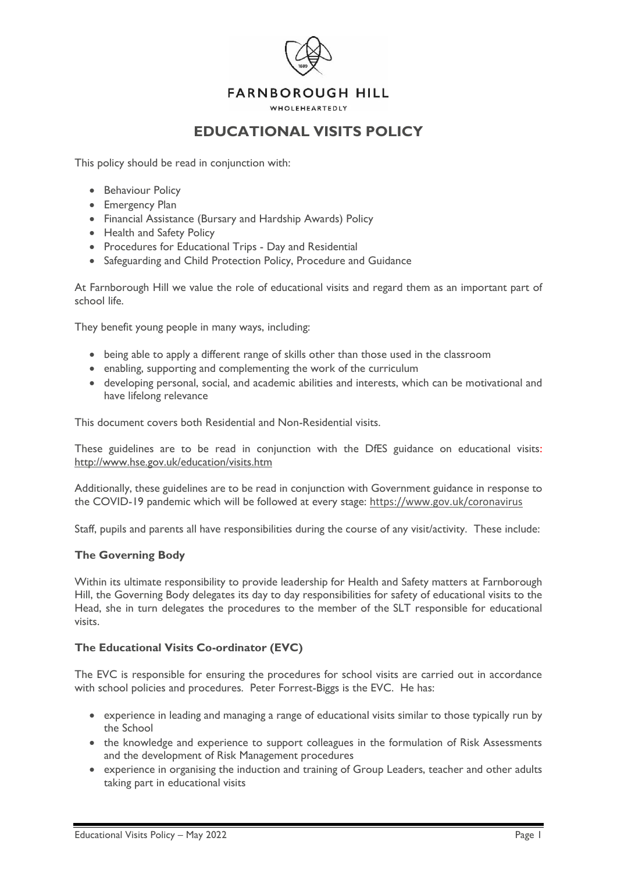

# **EDUCATIONAL VISITS POLICY**

This policy should be read in conjunction with:

- Behaviour Policy
- Emergency Plan
- Financial Assistance (Bursary and Hardship Awards) Policy
- Health and Safety Policy
- Procedures for Educational Trips Day and Residential
- Safeguarding and Child Protection Policy, Procedure and Guidance

At Farnborough Hill we value the role of educational visits and regard them as an important part of school life.

They benefit young people in many ways, including:

- being able to apply a different range of skills other than those used in the classroom
- enabling, supporting and complementing the work of the curriculum
- developing personal, social, and academic abilities and interests, which can be motivational and have lifelong relevance

This document covers both Residential and Non-Residential visits.

These guidelines are to be read in conjunction with the DfES guidance on educational visits: <http://www.hse.gov.uk/education/visits.htm>

Additionally, these guidelines are to be read in conjunction with Government guidance in response to the COVID-19 pandemic which will be followed at every stage: <https://www.gov.uk/coronavirus>

Staff, pupils and parents all have responsibilities during the course of any visit/activity. These include:

#### **The Governing Body**

Within its ultimate responsibility to provide leadership for Health and Safety matters at Farnborough Hill, the Governing Body delegates its day to day responsibilities for safety of educational visits to the Head, she in turn delegates the procedures to the member of the SLT responsible for educational visits.

# **The Educational Visits Co-ordinator (EVC)**

The EVC is responsible for ensuring the procedures for school visits are carried out in accordance with school policies and procedures. Peter Forrest-Biggs is the EVC. He has:

- experience in leading and managing a range of educational visits similar to those typically run by the School
- the knowledge and experience to support colleagues in the formulation of Risk Assessments and the development of Risk Management procedures
- experience in organising the induction and training of Group Leaders, teacher and other adults taking part in educational visits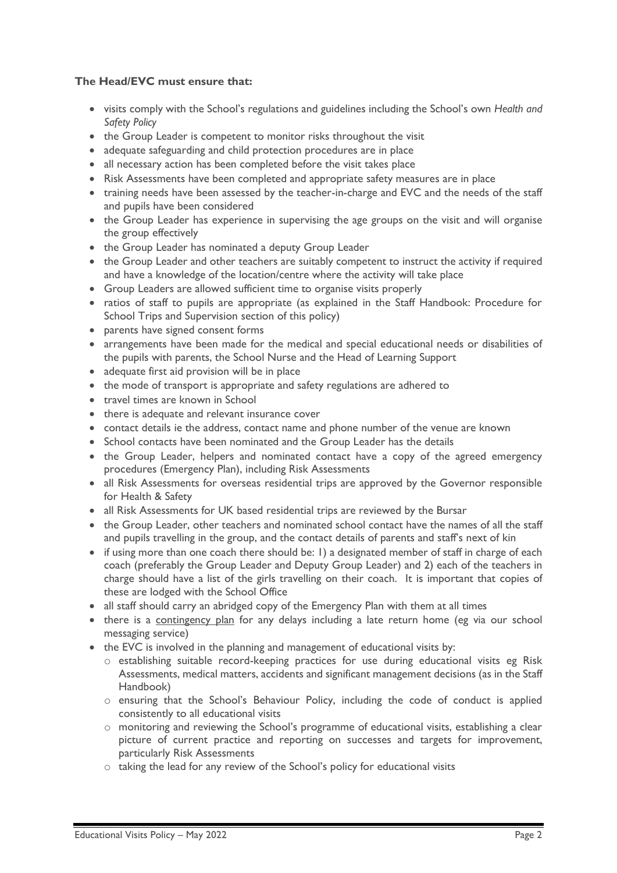# **The Head/EVC must ensure that:**

- visits comply with the School's regulations and guidelines including the School's own *Health and Safety Policy*
- the Group Leader is competent to monitor risks throughout the visit
- adequate safeguarding and child protection procedures are in place
- all necessary action has been completed before the visit takes place
- Risk Assessments have been completed and appropriate safety measures are in place
- training needs have been assessed by the teacher-in-charge and EVC and the needs of the staff and pupils have been considered
- the Group Leader has experience in supervising the age groups on the visit and will organise the group effectively
- the Group Leader has nominated a deputy Group Leader
- the Group Leader and other teachers are suitably competent to instruct the activity if required and have a knowledge of the location/centre where the activity will take place
- Group Leaders are allowed sufficient time to organise visits properly
- ratios of staff to pupils are appropriate (as explained in the Staff Handbook: Procedure for School Trips and Supervision section of this policy)
- parents have signed consent forms
- arrangements have been made for the medical and special educational needs or disabilities of the pupils with parents, the School Nurse and the Head of Learning Support
- adequate first aid provision will be in place
- the mode of transport is appropriate and safety regulations are adhered to
- travel times are known in School
- there is adequate and relevant insurance cover
- contact details ie the address, contact name and phone number of the venue are known
- School contacts have been nominated and the Group Leader has the details
- the Group Leader, helpers and nominated contact have a copy of the agreed emergency procedures (Emergency Plan), including Risk Assessments
- all Risk Assessments for overseas residential trips are approved by the Governor responsible for Health & Safety
- all Risk Assessments for UK based residential trips are reviewed by the Bursar
- the Group Leader, other teachers and nominated school contact have the names of all the staff and pupils travelling in the group, and the contact details of parents and staff's next of kin
- if using more than one coach there should be: 1) a designated member of staff in charge of each coach (preferably the Group Leader and Deputy Group Leader) and 2) each of the teachers in charge should have a list of the girls travelling on their coach. It is important that copies of these are lodged with the School Office
- all staff should carry an abridged copy of the Emergency Plan with them at all times
- there is a contingency plan for any delays including a late return home (eg via our school messaging service)
- the EVC is involved in the planning and management of educational visits by:
	- o establishing suitable record-keeping practices for use during educational visits eg Risk Assessments, medical matters, accidents and significant management decisions (as in the Staff Handbook)
	- o ensuring that the School's Behaviour Policy, including the code of conduct is applied consistently to all educational visits
	- o monitoring and reviewing the School's programme of educational visits, establishing a clear picture of current practice and reporting on successes and targets for improvement, particularly Risk Assessments
	- o taking the lead for any review of the School's policy for educational visits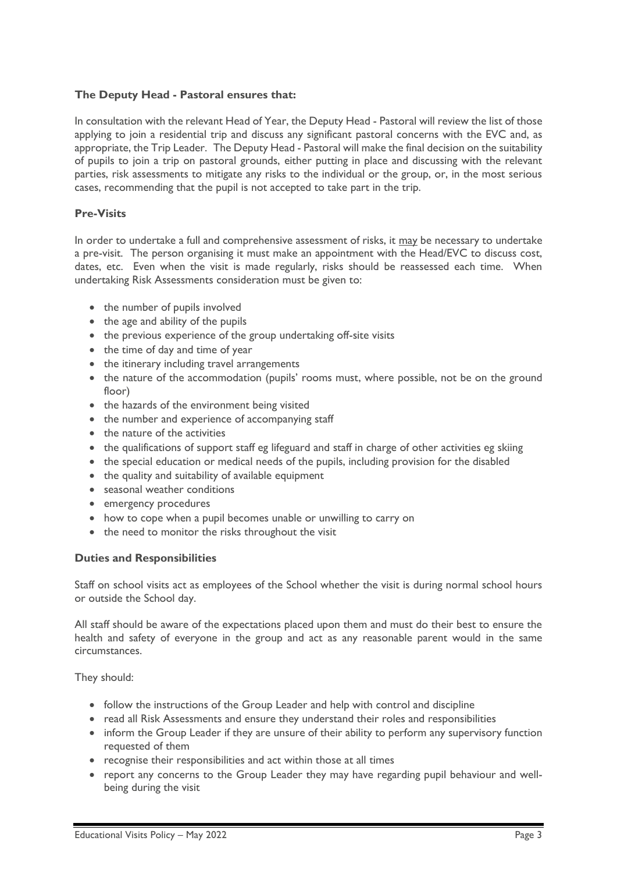# **The Deputy Head - Pastoral ensures that:**

In consultation with the relevant Head of Year, the Deputy Head - Pastoral will review the list of those applying to join a residential trip and discuss any significant pastoral concerns with the EVC and, as appropriate, the Trip Leader. The Deputy Head - Pastoral will make the final decision on the suitability of pupils to join a trip on pastoral grounds, either putting in place and discussing with the relevant parties, risk assessments to mitigate any risks to the individual or the group, or, in the most serious cases, recommending that the pupil is not accepted to take part in the trip.

### **Pre-Visits**

In order to undertake a full and comprehensive assessment of risks, it may be necessary to undertake a pre-visit. The person organising it must make an appointment with the Head/EVC to discuss cost, dates, etc. Even when the visit is made regularly, risks should be reassessed each time. When undertaking Risk Assessments consideration must be given to:

- the number of pupils involved
- the age and ability of the pupils
- the previous experience of the group undertaking off-site visits
- the time of day and time of year
- the itinerary including travel arrangements
- the nature of the accommodation (pupils' rooms must, where possible, not be on the ground floor)
- the hazards of the environment being visited
- the number and experience of accompanying staff
- the nature of the activities
- the qualifications of support staff eg lifeguard and staff in charge of other activities eg skiing
- the special education or medical needs of the pupils, including provision for the disabled
- the quality and suitability of available equipment
- seasonal weather conditions
- emergency procedures
- how to cope when a pupil becomes unable or unwilling to carry on
- the need to monitor the risks throughout the visit

#### **Duties and Responsibilities**

Staff on school visits act as employees of the School whether the visit is during normal school hours or outside the School day.

All staff should be aware of the expectations placed upon them and must do their best to ensure the health and safety of everyone in the group and act as any reasonable parent would in the same circumstances.

They should:

- follow the instructions of the Group Leader and help with control and discipline
- read all Risk Assessments and ensure they understand their roles and responsibilities
- inform the Group Leader if they are unsure of their ability to perform any supervisory function requested of them
- recognise their responsibilities and act within those at all times
- report any concerns to the Group Leader they may have regarding pupil behaviour and wellbeing during the visit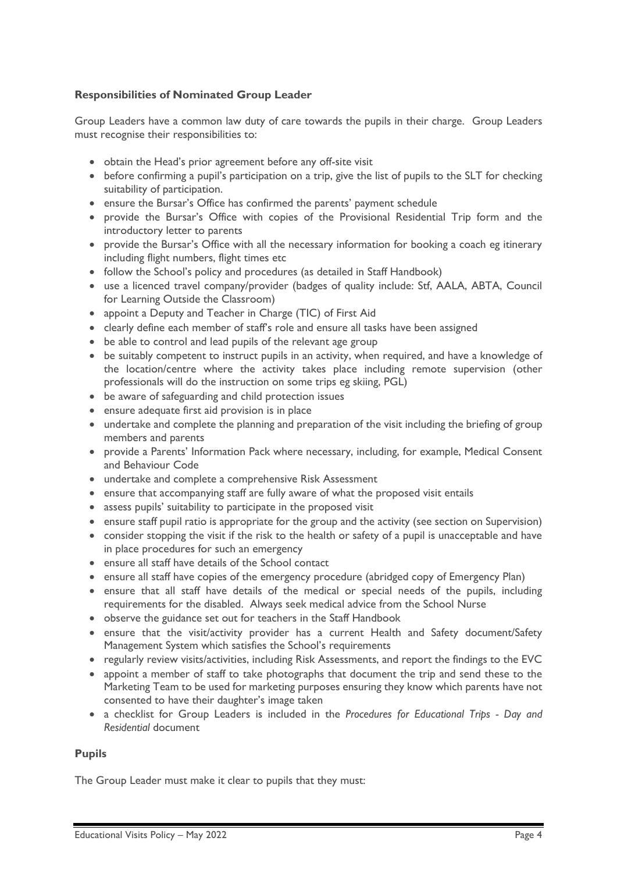# **Responsibilities of Nominated Group Leader**

Group Leaders have a common law duty of care towards the pupils in their charge. Group Leaders must recognise their responsibilities to:

- obtain the Head's prior agreement before any off-site visit
- before confirming a pupil's participation on a trip, give the list of pupils to the SLT for checking suitability of participation.
- ensure the Bursar's Office has confirmed the parents' payment schedule
- provide the Bursar's Office with copies of the Provisional Residential Trip form and the introductory letter to parents
- provide the Bursar's Office with all the necessary information for booking a coach eg itinerary including flight numbers, flight times etc
- follow the School's policy and procedures (as detailed in Staff Handbook)
- use a licenced travel company/provider (badges of quality include: Stf, AALA, ABTA, Council for Learning Outside the Classroom)
- appoint a Deputy and Teacher in Charge (TIC) of First Aid
- clearly define each member of staff's role and ensure all tasks have been assigned
- be able to control and lead pupils of the relevant age group
- be suitably competent to instruct pupils in an activity, when required, and have a knowledge of the location/centre where the activity takes place including remote supervision (other professionals will do the instruction on some trips eg skiing, PGL)
- be aware of safeguarding and child protection issues
- ensure adequate first aid provision is in place
- undertake and complete the planning and preparation of the visit including the briefing of group members and parents
- provide a Parents' Information Pack where necessary, including, for example, Medical Consent and Behaviour Code
- undertake and complete a comprehensive Risk Assessment
- ensure that accompanying staff are fully aware of what the proposed visit entails
- assess pupils' suitability to participate in the proposed visit
- ensure staff pupil ratio is appropriate for the group and the activity (see section on Supervision)
- consider stopping the visit if the risk to the health or safety of a pupil is unacceptable and have in place procedures for such an emergency
- ensure all staff have details of the School contact
- ensure all staff have copies of the emergency procedure (abridged copy of Emergency Plan)
- ensure that all staff have details of the medical or special needs of the pupils, including requirements for the disabled. Always seek medical advice from the School Nurse
- observe the guidance set out for teachers in the Staff Handbook
- ensure that the visit/activity provider has a current Health and Safety document/Safety Management System which satisfies the School's requirements
- regularly review visits/activities, including Risk Assessments, and report the findings to the EVC
- appoint a member of staff to take photographs that document the trip and send these to the Marketing Team to be used for marketing purposes ensuring they know which parents have not consented to have their daughter's image taken
- a checklist for Group Leaders is included in the *Procedures for Educational Trips - Day and Residential* document

# **Pupils**

The Group Leader must make it clear to pupils that they must: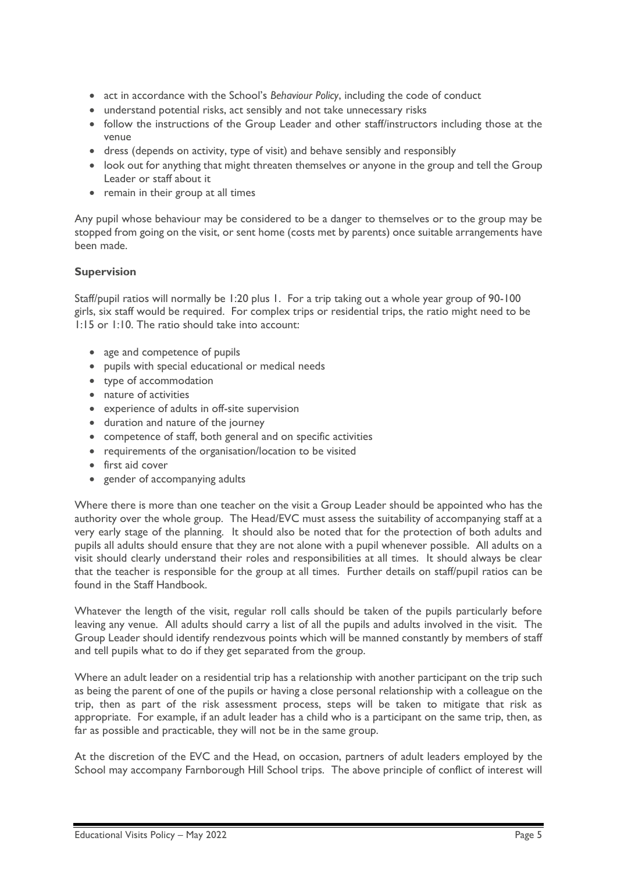- act in accordance with the School's *Behaviour Policy*, including the code of conduct
- understand potential risks, act sensibly and not take unnecessary risks
- follow the instructions of the Group Leader and other staff/instructors including those at the venue
- dress (depends on activity, type of visit) and behave sensibly and responsibly
- look out for anything that might threaten themselves or anyone in the group and tell the Group Leader or staff about it
- remain in their group at all times

Any pupil whose behaviour may be considered to be a danger to themselves or to the group may be stopped from going on the visit, or sent home (costs met by parents) once suitable arrangements have been made.

# **Supervision**

Staff/pupil ratios will normally be 1:20 plus 1. For a trip taking out a whole year group of 90-100 girls, six staff would be required. For complex trips or residential trips, the ratio might need to be 1:15 or 1:10. The ratio should take into account:

- age and competence of pupils
- pupils with special educational or medical needs
- type of accommodation
- nature of activities
- experience of adults in off-site supervision
- duration and nature of the journey
- competence of staff, both general and on specific activities
- requirements of the organisation/location to be visited
- first aid cover
- gender of accompanying adults

Where there is more than one teacher on the visit a Group Leader should be appointed who has the authority over the whole group. The Head/EVC must assess the suitability of accompanying staff at a very early stage of the planning. It should also be noted that for the protection of both adults and pupils all adults should ensure that they are not alone with a pupil whenever possible. All adults on a visit should clearly understand their roles and responsibilities at all times. It should always be clear that the teacher is responsible for the group at all times. Further details on staff/pupil ratios can be found in the Staff Handbook.

Whatever the length of the visit, regular roll calls should be taken of the pupils particularly before leaving any venue. All adults should carry a list of all the pupils and adults involved in the visit. The Group Leader should identify rendezvous points which will be manned constantly by members of staff and tell pupils what to do if they get separated from the group.

Where an adult leader on a residential trip has a relationship with another participant on the trip such as being the parent of one of the pupils or having a close personal relationship with a colleague on the trip, then as part of the risk assessment process, steps will be taken to mitigate that risk as appropriate. For example, if an adult leader has a child who is a participant on the same trip, then, as far as possible and practicable, they will not be in the same group.

At the discretion of the EVC and the Head, on occasion, partners of adult leaders employed by the School may accompany Farnborough Hill School trips. The above principle of conflict of interest will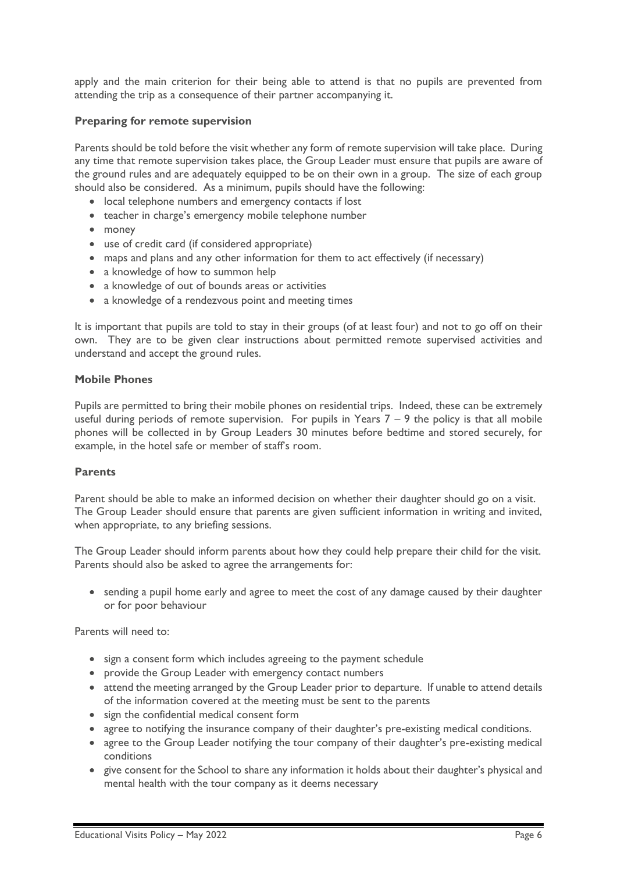apply and the main criterion for their being able to attend is that no pupils are prevented from attending the trip as a consequence of their partner accompanying it.

### **Preparing for remote supervision**

Parents should be told before the visit whether any form of remote supervision will take place. During any time that remote supervision takes place, the Group Leader must ensure that pupils are aware of the ground rules and are adequately equipped to be on their own in a group. The size of each group should also be considered. As a minimum, pupils should have the following:

- local telephone numbers and emergency contacts if lost
- teacher in charge's emergency mobile telephone number
- money
- use of credit card (if considered appropriate)
- maps and plans and any other information for them to act effectively (if necessary)
- a knowledge of how to summon help
- a knowledge of out of bounds areas or activities
- a knowledge of a rendezvous point and meeting times

It is important that pupils are told to stay in their groups (of at least four) and not to go off on their own. They are to be given clear instructions about permitted remote supervised activities and understand and accept the ground rules.

#### **Mobile Phones**

Pupils are permitted to bring their mobile phones on residential trips. Indeed, these can be extremely useful during periods of remote supervision. For pupils in Years  $7 - 9$  the policy is that all mobile phones will be collected in by Group Leaders 30 minutes before bedtime and stored securely, for example, in the hotel safe or member of staff's room.

#### **Parents**

Parent should be able to make an informed decision on whether their daughter should go on a visit. The Group Leader should ensure that parents are given sufficient information in writing and invited, when appropriate, to any briefing sessions.

The Group Leader should inform parents about how they could help prepare their child for the visit. Parents should also be asked to agree the arrangements for:

• sending a pupil home early and agree to meet the cost of any damage caused by their daughter or for poor behaviour

Parents will need to:

- sign a consent form which includes agreeing to the payment schedule
- provide the Group Leader with emergency contact numbers
- attend the meeting arranged by the Group Leader prior to departure. If unable to attend details of the information covered at the meeting must be sent to the parents
- sign the confidential medical consent form
- agree to notifying the insurance company of their daughter's pre-existing medical conditions.
- agree to the Group Leader notifying the tour company of their daughter's pre-existing medical conditions
- give consent for the School to share any information it holds about their daughter's physical and mental health with the tour company as it deems necessary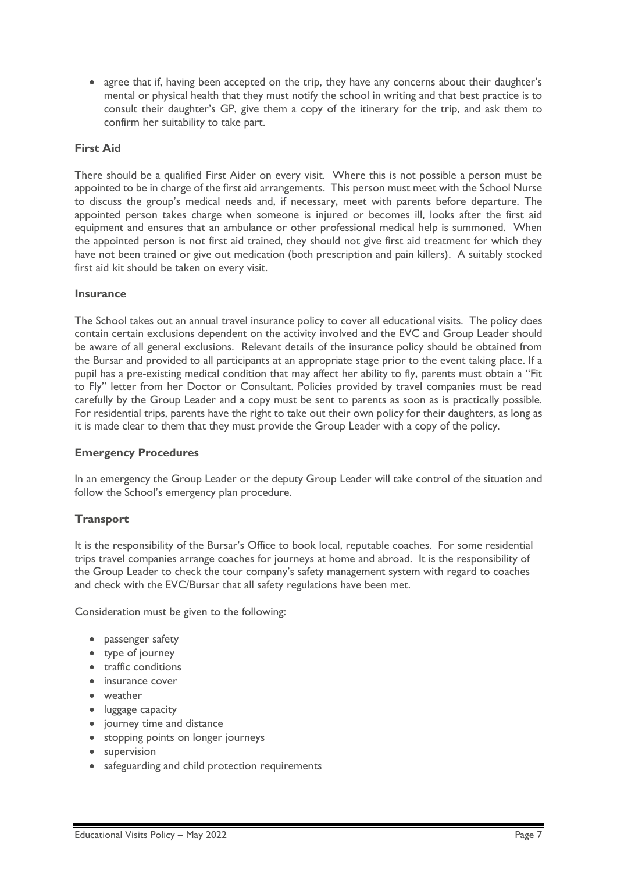• agree that if, having been accepted on the trip, they have any concerns about their daughter's mental or physical health that they must notify the school in writing and that best practice is to consult their daughter's GP, give them a copy of the itinerary for the trip, and ask them to confirm her suitability to take part.

# **First Aid**

There should be a qualified First Aider on every visit. Where this is not possible a person must be appointed to be in charge of the first aid arrangements. This person must meet with the School Nurse to discuss the group's medical needs and, if necessary, meet with parents before departure. The appointed person takes charge when someone is injured or becomes ill, looks after the first aid equipment and ensures that an ambulance or other professional medical help is summoned. When the appointed person is not first aid trained, they should not give first aid treatment for which they have not been trained or give out medication (both prescription and pain killers). A suitably stocked first aid kit should be taken on every visit.

### **Insurance**

The School takes out an annual travel insurance policy to cover all educational visits. The policy does contain certain exclusions dependent on the activity involved and the EVC and Group Leader should be aware of all general exclusions. Relevant details of the insurance policy should be obtained from the Bursar and provided to all participants at an appropriate stage prior to the event taking place. If a pupil has a pre-existing medical condition that may affect her ability to fly, parents must obtain a "Fit to Fly" letter from her Doctor or Consultant. Policies provided by travel companies must be read carefully by the Group Leader and a copy must be sent to parents as soon as is practically possible. For residential trips, parents have the right to take out their own policy for their daughters, as long as it is made clear to them that they must provide the Group Leader with a copy of the policy.

# **Emergency Procedures**

In an emergency the Group Leader or the deputy Group Leader will take control of the situation and follow the School's emergency plan procedure.

# **Transport**

It is the responsibility of the Bursar's Office to book local, reputable coaches. For some residential trips travel companies arrange coaches for journeys at home and abroad. It is the responsibility of the Group Leader to check the tour company's safety management system with regard to coaches and check with the EVC/Bursar that all safety regulations have been met.

Consideration must be given to the following:

- passenger safety
- type of journey
- traffic conditions
- insurance cover
- weather
- luggage capacity
- journey time and distance
- stopping points on longer journeys
- supervision
- safeguarding and child protection requirements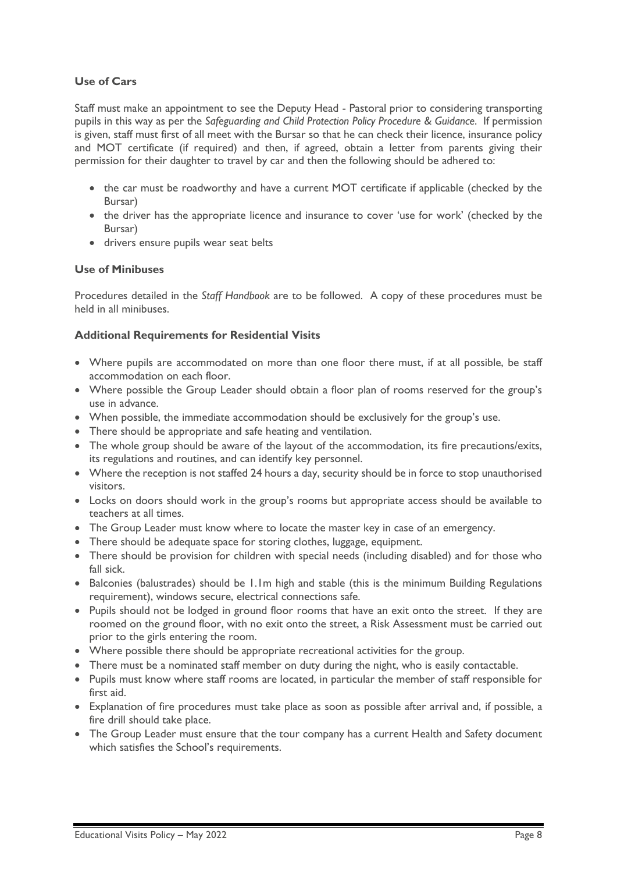# **Use of Cars**

Staff must make an appointment to see the Deputy Head - Pastoral prior to considering transporting pupils in this way as per the *Safeguarding and Child Protection Policy Procedure & Guidance*. If permission is given, staff must first of all meet with the Bursar so that he can check their licence, insurance policy and MOT certificate (if required) and then, if agreed, obtain a letter from parents giving their permission for their daughter to travel by car and then the following should be adhered to:

- the car must be roadworthy and have a current MOT certificate if applicable (checked by the Bursar)
- the driver has the appropriate licence and insurance to cover 'use for work' (checked by the Bursar)
- drivers ensure pupils wear seat belts

### **Use of Minibuses**

Procedures detailed in the *Staff Handbook* are to be followed. A copy of these procedures must be held in all minibuses.

# **Additional Requirements for Residential Visits**

- Where pupils are accommodated on more than one floor there must, if at all possible, be staff accommodation on each floor.
- Where possible the Group Leader should obtain a floor plan of rooms reserved for the group's use in advance.
- When possible, the immediate accommodation should be exclusively for the group's use.
- There should be appropriate and safe heating and ventilation.
- The whole group should be aware of the layout of the accommodation, its fire precautions/exits, its regulations and routines, and can identify key personnel.
- Where the reception is not staffed 24 hours a day, security should be in force to stop unauthorised visitors.
- Locks on doors should work in the group's rooms but appropriate access should be available to teachers at all times.
- The Group Leader must know where to locate the master key in case of an emergency.
- There should be adequate space for storing clothes, luggage, equipment.
- There should be provision for children with special needs (including disabled) and for those who fall sick.
- Balconies (balustrades) should be 1.1m high and stable (this is the minimum Building Regulations requirement), windows secure, electrical connections safe.
- Pupils should not be lodged in ground floor rooms that have an exit onto the street. If they are roomed on the ground floor, with no exit onto the street, a Risk Assessment must be carried out prior to the girls entering the room.
- Where possible there should be appropriate recreational activities for the group.
- There must be a nominated staff member on duty during the night, who is easily contactable.
- Pupils must know where staff rooms are located, in particular the member of staff responsible for first aid.
- Explanation of fire procedures must take place as soon as possible after arrival and, if possible, a fire drill should take place.
- The Group Leader must ensure that the tour company has a current Health and Safety document which satisfies the School's requirements.